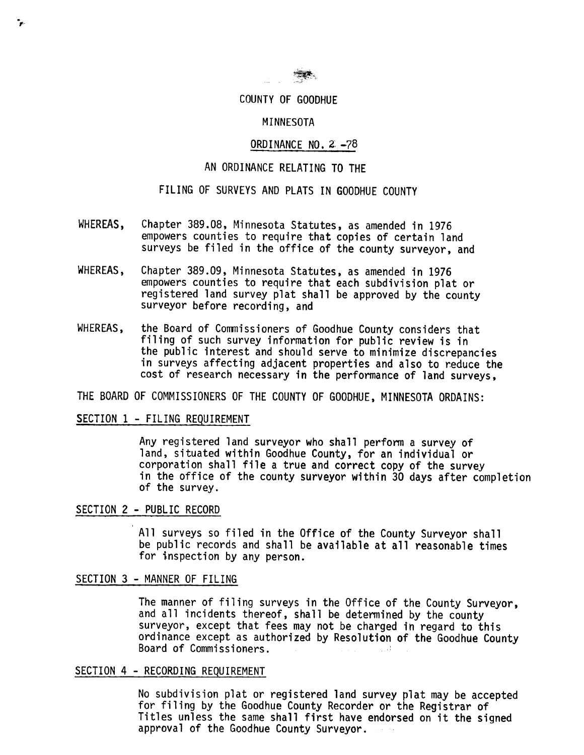

#### COUNTY OF GOODHUE

#### MINNESOTA

### ORDINANCE NO. 2 -78

### AN ORDINANCE RELATING TO THE

## FILING OF SURVEYS AND PLATS IN GOODHUE COUNTY

- WHEREAS, Chapter 389.08, Minnesota Statutes, as amended in 1976 empowers counties to require that copies of certain land surveys be filed in the office of the county surveyor, and
- WHEREAS, Chapter 389.09, Minnesota Statutes, as amended in 1976 empowers counties to require that each subdivision plat or registered land survey plat shall be approved by the county surveyor before recording, and
- WHEREAS, the Board of Commissioners of Goodhue County considers that filing of such survey information for public review is in the public interest and should serve to minimize discrepancies in surveys affecting adjacent properties and also to reduce the cost of research necessary in the performance of land surveys,

THE BOARD OF COMMISSIONERS OF THE COUNTY OF GOODHUE, MINNESOTA ORDAINS:

### SECTION 1 - FILING REQUIREMENT

Any registered land surveyor who shall perform a survey of land, situated within Goodhue County, for an individual or corporation shall file a true and correct copy of the survey in the office of the county surveyor within 30 days after completion of the survey.

#### SECTION 2 - PUBLIC RECORD

All surveys so filed in the Office of the County Surveyor shall be public records and shall be available at all reasonable times for inspection by any person.

## SECTION 3 - MANNER OF FILING

The manner of filing surveys in the Office of the County Surveyor, and all incidents thereof, shall be determined by the county surveyor, except that fees may not be charged in regard to this ordinance except as authorized by Resolution of the Goodhue County Board of Commissioners.:

## SECTION 4 - RECORDING REQUIREMENT

No subdivision plat or registered land survey plat may be accepted for filing by the Goodhue County Recorder or the Registrar of Titles unless the same shall first have endorsed on it the signed approval of the Goodhue County Surveyor.